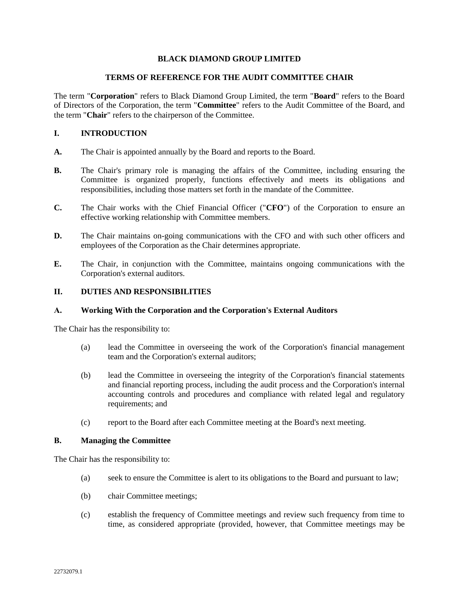## **BLACK DIAMOND GROUP LIMITED**

### **TERMS OF REFERENCE FOR THE AUDIT COMMITTEE CHAIR**

The term "**Corporation**" refers to Black Diamond Group Limited, the term "**Board**" refers to the Board of Directors of the Corporation, the term "**Committee**" refers to the Audit Committee of the Board, and the term "**Chair**" refers to the chairperson of the Committee.

### **I. INTRODUCTION**

- **A.** The Chair is appointed annually by the Board and reports to the Board.
- **B.** The Chair's primary role is managing the affairs of the Committee, including ensuring the Committee is organized properly, functions effectively and meets its obligations and responsibilities, including those matters set forth in the mandate of the Committee.
- **C.** The Chair works with the Chief Financial Officer ("**CFO**") of the Corporation to ensure an effective working relationship with Committee members.
- **D.** The Chair maintains on-going communications with the CFO and with such other officers and employees of the Corporation as the Chair determines appropriate.
- **E.** The Chair, in conjunction with the Committee, maintains ongoing communications with the Corporation's external auditors.

# **II. DUTIES AND RESPONSIBILITIES**

### **A. Working With the Corporation and the Corporation's External Auditors**

The Chair has the responsibility to:

- (a) lead the Committee in overseeing the work of the Corporation's financial management team and the Corporation's external auditors;
- (b) lead the Committee in overseeing the integrity of the Corporation's financial statements and financial reporting process, including the audit process and the Corporation's internal accounting controls and procedures and compliance with related legal and regulatory requirements; and
- (c) report to the Board after each Committee meeting at the Board's next meeting.

### **B. Managing the Committee**

The Chair has the responsibility to:

- (a) seek to ensure the Committee is alert to its obligations to the Board and pursuant to law;
- (b) chair Committee meetings;
- (c) establish the frequency of Committee meetings and review such frequency from time to time, as considered appropriate (provided, however, that Committee meetings may be